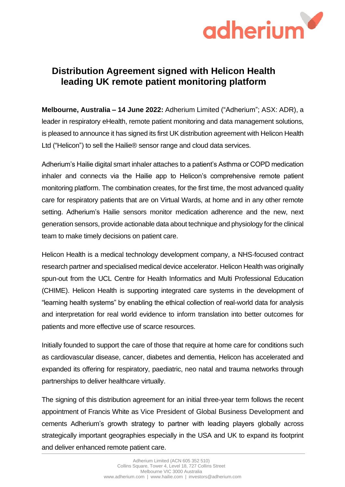

## **Distribution Agreement signed with Helicon Health leading UK remote patient monitoring platform**

**Melbourne, Australia – 14 June 2022:** Adherium Limited ("Adherium"; ASX: ADR), a leader in respiratory eHealth, remote patient monitoring and data management solutions, is pleased to announce it has signed its first UK distribution agreement with Helicon Health Ltd ("Helicon") to sell the Hailie® sensor range and cloud data services.

Adherium's Hailie digital smart inhaler attaches to a patient's Asthma or COPD medication inhaler and connects via the Hailie app to Helicon's comprehensive remote patient monitoring platform. The combination creates, for the first time, the most advanced quality care for respiratory patients that are on Virtual Wards, at home and in any other remote setting. Adherium's Hailie sensors monitor medication adherence and the new, next generation sensors, provide actionable data about technique and physiology for the clinical team to make timely decisions on patient care.

Helicon Health is a medical technology development company, a NHS-focused contract research partner and specialised medical device accelerator. Helicon Health was originally spun-out from the UCL Centre for Health Informatics and Multi Professional Education (CHIME). Helicon Health is supporting integrated care systems in the development of "learning health systems" by enabling the ethical collection of real-world data for analysis and interpretation for real world evidence to inform translation into better outcomes for patients and more effective use of scarce resources.

Initially founded to support the care of those that require at home care for conditions such as cardiovascular disease, cancer, diabetes and dementia, Helicon has accelerated and expanded its offering for respiratory, paediatric, neo natal and trauma networks through partnerships to deliver healthcare virtually.

The signing of this distribution agreement for an initial three-year term follows the recent appointment of Francis White as Vice President of Global Business Development and cements Adherium's growth strategy to partner with leading players globally across strategically important geographies especially in the USA and UK to expand its footprint and deliver enhanced remote patient care.